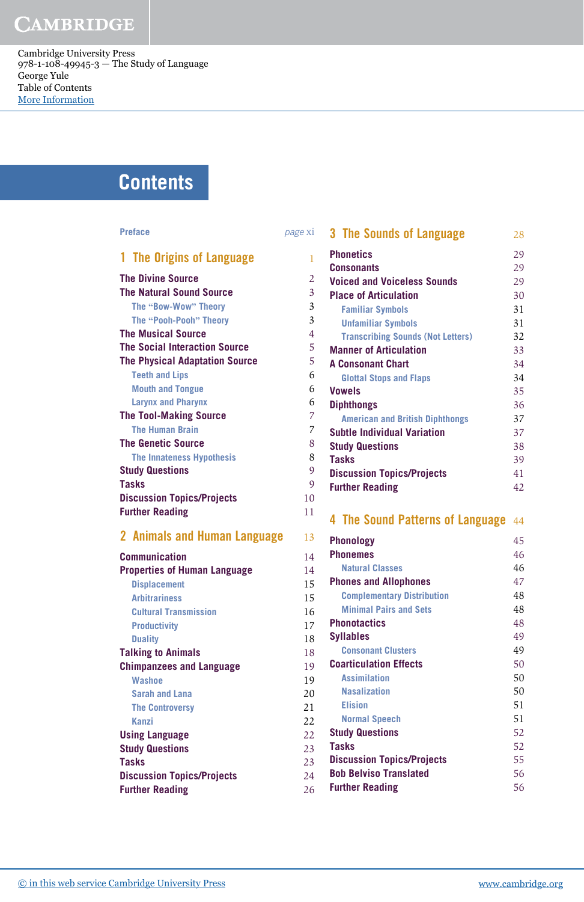Cambridge University Press 978-1-108-49945-3 — The Study of Language George Yule Table of Contents [More Information](www.cambridge.org/9781108499453)

# **Contents**

#### Preface page is a page of the page  $p$

| 1 The Origins of Language             | 1              |
|---------------------------------------|----------------|
| <b>The Divine Source</b>              | $\overline{2}$ |
| <b>The Natural Sound Source</b>       | 3              |
| The "Bow-Wow" Theory                  | $\overline{3}$ |
| The "Pooh-Pooh" Theory                | $\overline{3}$ |
| <b>The Musical Source</b>             | $\overline{4}$ |
| The Social Interaction Source         | 5              |
| <b>The Physical Adaptation Source</b> | 5              |
| <b>Teeth and Lips</b>                 | 6              |
| <b>Mouth and Tongue</b>               | 6              |
| <b>Larynx and Pharynx</b>             | 6              |
| <b>The Tool-Making Source</b>         | $\overline{7}$ |
| <b>The Human Brain</b>                | $\overline{7}$ |
| <b>The Genetic Source</b>             | 8              |
| <b>The Innateness Hypothesis</b>      | 8              |
| <b>Study Questions</b>                | 9              |
| Tasks                                 | 9              |
| <b>Discussion Topics/Projects</b>     | 10             |
| <b>Further Reading</b>                | 11             |
|                                       |                |

#### 2 Animals and Human Language

| Communication                       | 14 |
|-------------------------------------|----|
| <b>Properties of Human Language</b> | 14 |
| <b>Displacement</b>                 | 15 |
| <b>Arbitrariness</b>                | 15 |
| <b>Cultural Transmission</b>        | 16 |
| <b>Productivity</b>                 | 17 |
| <b>Duality</b>                      | 18 |
| <b>Talking to Animals</b>           | 18 |
| <b>Chimpanzees and Language</b>     | 19 |
| <b>Washoe</b>                       | 19 |
| <b>Sarah and Lana</b>               | 20 |
| <b>The Controversy</b>              | 21 |
| <b>Kanzi</b>                        | 22 |
| <b>Using Language</b>               | 22 |
| <b>Study Questions</b>              | 23 |
| <b>Tasks</b>                        | 23 |
| <b>Discussion Topics/Projects</b>   | 24 |
| <b>Further Reading</b>              | 26 |
|                                     |    |

| 3 The Sounds of Language                 | 28 |
|------------------------------------------|----|
| <b>Phonetics</b>                         | 29 |
| <b>Consonants</b>                        | 29 |
| <b>Voiced and Voiceless Sounds</b>       | 29 |
| <b>Place of Articulation</b>             | 30 |
| <b>Familiar Symbols</b>                  | 31 |
| <b>Unfamiliar Symbols</b>                | 31 |
| <b>Transcribing Sounds (Not Letters)</b> | 32 |
| <b>Manner of Articulation</b>            | 33 |
| <b>A Consonant Chart</b>                 | 34 |
| <b>Glottal Stops and Flaps</b>           | 34 |
| Vowels                                   | 35 |
| <b>Diphthongs</b>                        | 36 |
| <b>American and British Diphthongs</b>   | 37 |
| <b>Subtle Individual Variation</b>       | 37 |
| <b>Study Questions</b>                   | 38 |
| <b>Tasks</b>                             | 39 |
| <b>Discussion Topics/Projects</b>        | 41 |
| <b>Further Reading</b>                   | 42 |
|                                          |    |
|                                          |    |

#### 4 The Sound Patterns of Language 44

| 13 | <b>Phonology</b>                  | 45 |
|----|-----------------------------------|----|
| 14 | <b>Phonemes</b>                   | 46 |
| 14 | <b>Natural Classes</b>            | 46 |
| 15 | <b>Phones and Allophones</b>      | 47 |
| 15 | <b>Complementary Distribution</b> | 48 |
| 16 | <b>Minimal Pairs and Sets</b>     | 48 |
| 17 | <b>Phonotactics</b>               | 48 |
| 18 | <b>Syllables</b>                  | 49 |
| 18 | <b>Consonant Clusters</b>         | 49 |
| 19 | <b>Coarticulation Effects</b>     | 50 |
| 19 | <b>Assimilation</b>               | 50 |
| 20 | <b>Nasalization</b>               | 50 |
| 21 | <b>Elision</b>                    | 51 |
| 22 | <b>Normal Speech</b>              | 51 |
| 22 | <b>Study Questions</b>            | 52 |
| 23 | <b>Tasks</b>                      | 52 |
| 23 | <b>Discussion Topics/Projects</b> | 55 |
| 24 | <b>Bob Belviso Translated</b>     | 56 |
| 26 | <b>Further Reading</b>            | 56 |
|    |                                   |    |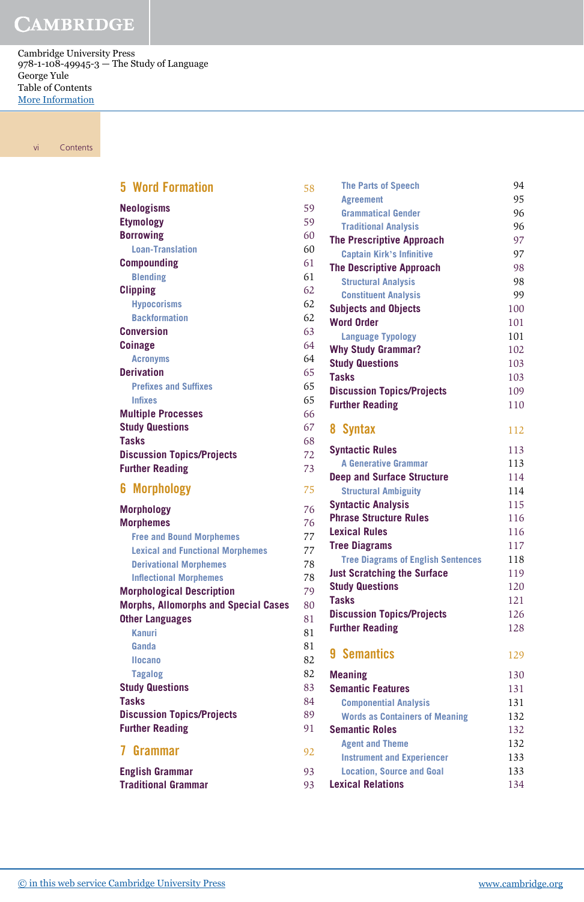Cambridge University Press 978-1-108-49945-3 — The Study of Language George Yule Table of Contents [More Information](www.cambridge.org/9781108499453)

vi Contents

| <b>5 Word Formation</b>                     | 58 |
|---------------------------------------------|----|
| <b>Neologisms</b>                           | 59 |
| <b>Etymology</b>                            | 59 |
| <b>Borrowing</b>                            | 60 |
| <b>Loan-Translation</b>                     | 60 |
| <b>Compounding</b>                          | 61 |
| <b>Blending</b>                             | 61 |
| <b>Clipping</b>                             | 62 |
| <b>Hypocorisms</b>                          | 62 |
| <b>Backformation</b>                        | 62 |
| <b>Conversion</b>                           | 63 |
| <b>Coinage</b>                              | 64 |
| <b>Acronyms</b>                             | 64 |
| <b>Derivation</b>                           | 65 |
| <b>Prefixes and Suffixes</b>                | 65 |
| <b>Infixes</b>                              | 65 |
| <b>Multiple Processes</b>                   | 66 |
| <b>Study Questions</b>                      | 67 |
| <b>Tasks</b>                                | 68 |
| <b>Discussion Topics/Projects</b>           | 72 |
| <b>Further Reading</b>                      | 73 |
| <b>Morphology</b><br>6                      | 75 |
| <b>Morphology</b>                           | 76 |
| <b>Morphemes</b>                            | 76 |
| <b>Free and Bound Morphemes</b>             | 77 |
| <b>Lexical and Functional Morphemes</b>     | 77 |
| <b>Derivational Morphemes</b>               | 78 |
| <b>Inflectional Morphemes</b>               | 78 |
| <b>Morphological Description</b>            | 79 |
| <b>Morphs, Allomorphs and Special Cases</b> | 80 |
| <b>Other Languages</b>                      | 81 |
| Kanuri                                      | 81 |
| Ganda                                       | 81 |
| <b>Ilocano</b>                              | 82 |
| <b>Tagalog</b>                              | 82 |
| <b>Study Questions</b>                      | 83 |
| <b>Tasks</b>                                | 84 |
| <b>Discussion Topics/Projects</b>           | 89 |
| <b>Further Reading</b>                      | 91 |
| 7 Grammar                                   | 92 |
| <b>English Grammar</b>                      | 93 |
| <b>Traditional Grammar</b>                  | 93 |

| 58                     | <b>The Parts of Speech</b>                | 94  |
|------------------------|-------------------------------------------|-----|
|                        | <b>Agreement</b>                          | 95  |
| 59                     | <b>Grammatical Gender</b>                 | 96  |
| 59                     | <b>Traditional Analysis</b>               | 96  |
| 50                     | <b>The Prescriptive Approach</b>          | 97  |
| 50                     | <b>Captain Kirk's Infinitive</b>          | 97  |
| 51                     | <b>The Descriptive Approach</b>           | 98  |
| 51                     | <b>Structural Analysis</b>                | 98  |
| 52                     | <b>Constituent Analysis</b>               | 99  |
| 52                     | <b>Subjects and Objects</b>               | 100 |
| 52                     | <b>Word Order</b>                         | 101 |
| 53                     | <b>Language Typology</b>                  | 101 |
| 54                     | <b>Why Study Grammar?</b>                 | 102 |
| 54                     | <b>Study Questions</b>                    | 103 |
| 55                     | <b>Tasks</b>                              | 103 |
| 55                     | <b>Discussion Topics/Projects</b>         | 109 |
| 55                     | <b>Further Reading</b>                    | 110 |
| 56                     |                                           |     |
| 57                     | 8 Syntax                                  | 112 |
| 58                     | <b>Syntactic Rules</b>                    | 113 |
| $\overline{2}$         | <b>A Generative Grammar</b>               | 113 |
| 73                     | <b>Deep and Surface Structure</b>         | 114 |
| 75                     | <b>Structural Ambiguity</b>               | 114 |
|                        | <b>Syntactic Analysis</b>                 | 115 |
| 76                     | <b>Phrase Structure Rules</b>             | 116 |
| 76                     | <b>Lexical Rules</b>                      | 116 |
| 77                     | <b>Tree Diagrams</b>                      | 117 |
| 77                     | <b>Tree Diagrams of English Sentences</b> | 118 |
| 78                     | <b>Just Scratching the Surface</b>        | 119 |
| 78                     | <b>Study Questions</b>                    | 120 |
| 79                     | <b>Tasks</b>                              | 121 |
| 30                     | <b>Discussion Topics/Projects</b>         | 126 |
| $\overline{31}$        | <b>Further Reading</b>                    | 128 |
| $\overline{\text{31}}$ |                                           |     |
| $\overline{31}$        | 9 Semantics                               | 129 |
| 32                     |                                           |     |
| $\overline{2}$         | <b>Meaning</b>                            | 130 |
| $\overline{33}$        | <b>Semantic Features</b>                  | 131 |
| 34                     | <b>Componential Analysis</b>              | 131 |
| 39                     | <b>Words as Containers of Meaning</b>     | 132 |
| $\overline{1}$         | <b>Semantic Roles</b>                     | 132 |
| $\overline{2}$         | <b>Agent and Theme</b>                    | 132 |
|                        | <b>Instrument and Experiencer</b>         | 133 |
| 3 <sup>3</sup>         | <b>Location, Source and Goal</b>          | 133 |
| $3^{3}$                | <b>Lexical Relations</b>                  | 134 |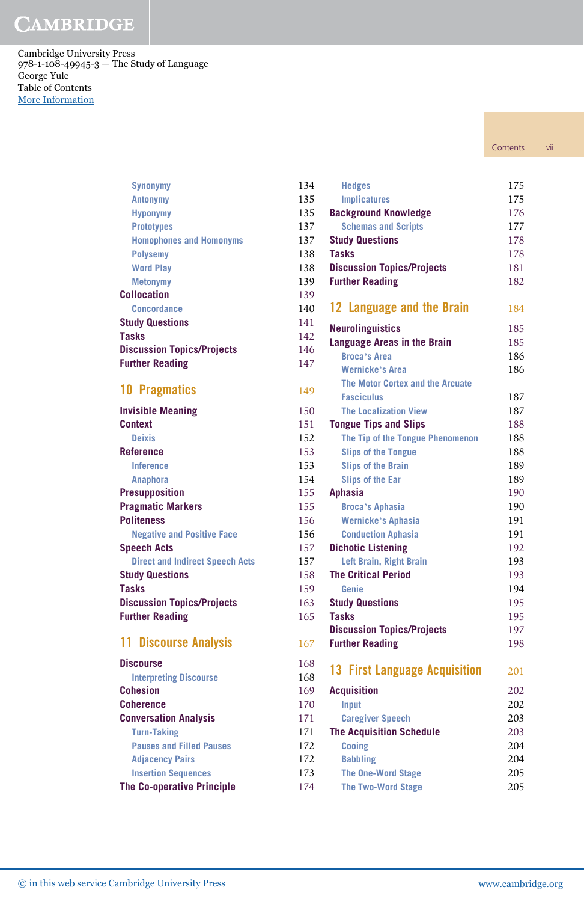Cambridge University Press 978-1-108-49945-3 — The Study of Language George Yule Table of Contents [More Information](www.cambridge.org/9781108499453)

**Synonymy** 

| Contents | VII |
|----------|-----|
|          |     |

| <b>Antonymy</b>                        | 135 |
|----------------------------------------|-----|
| <b>Hyponymy</b>                        | 135 |
| <b>Prototypes</b>                      | 137 |
| <b>Homophones and Homonyms</b>         | 137 |
| <b>Polysemy</b>                        | 138 |
| <b>Word Play</b>                       | 138 |
| <b>Metonymy</b>                        | 139 |
| <b>Collocation</b>                     | 139 |
| <b>Concordance</b>                     | 140 |
| <b>Study Questions</b>                 | 141 |
| <b>Tasks</b>                           | 142 |
| <b>Discussion Topics/Projects</b>      | 146 |
| <b>Further Reading</b>                 | 147 |
| <b>10 Pragmatics</b>                   | 149 |
| <b>Invisible Meaning</b>               | 150 |
| <b>Context</b>                         | 151 |
| <b>Deixis</b>                          | 152 |
| <b>Reference</b>                       | 153 |
| <b>Inference</b>                       | 153 |
| <b>Anaphora</b>                        | 154 |
| <b>Presupposition</b>                  | 155 |
| <b>Pragmatic Markers</b>               | 155 |
| <b>Politeness</b>                      | 156 |
| <b>Negative and Positive Face</b>      | 156 |
| <b>Speech Acts</b>                     | 157 |
| <b>Direct and Indirect Speech Acts</b> | 157 |
| <b>Study Questions</b>                 | 158 |
| <b>Tasks</b>                           | 159 |
| <b>Discussion Topics/Projects</b>      | 163 |
| <b>Further Reading</b>                 | 165 |

### 11 Discourse Analysis

| <b>Discourse</b>                  | 168 |
|-----------------------------------|-----|
| <b>Interpreting Discourse</b>     | 168 |
| Cohesion                          | 169 |
| Coherence                         | 170 |
| <b>Conversation Analysis</b>      | 171 |
| <b>Turn-Taking</b>                | 171 |
| <b>Pauses and Filled Pauses</b>   | 172 |
| <b>Adjacency Pairs</b>            | 172 |
| <b>Insertion Sequences</b>        | 173 |
| <b>The Co-operative Principle</b> | 174 |

| 134 | <b>Hedges</b>                     | 175 |
|-----|-----------------------------------|-----|
| 135 | <b>Implicatures</b>               | 175 |
| 135 | <b>Background Knowledge</b>       | 176 |
| 137 | <b>Schemas and Scripts</b>        | 177 |
| 137 | <b>Study Questions</b>            | 178 |
| 138 | <b>Tasks</b>                      | 178 |
| 138 | <b>Discussion Topics/Projects</b> | 181 |
| 139 | <b>Further Reading</b>            | 182 |
| 139 |                                   |     |
| 140 | 12 Language and the Brain         | 184 |
| 141 | <b>Neurolinguistics</b>           | 185 |
| 142 | Language Areas in the Brain       | 185 |
| 146 | <b>Broca's Area</b>               | 186 |
| 147 | <b>Wernicke's Area</b>            | 186 |
|     | The Motor Cortex and the Arcuate  |     |
| 149 | <b>Fasciculus</b>                 | 187 |
|     | <b>The Localization View</b>      | 187 |
| 150 |                                   | 188 |
| 151 | <b>Tongue Tips and Slips</b>      |     |
| 152 | The Tip of the Tongue Phenomenon  | 188 |
| 153 | <b>Slips of the Tongue</b>        | 188 |
| 153 | <b>Slips of the Brain</b>         | 189 |
| 154 | <b>Slips of the Ear</b>           | 189 |
| 155 | <b>Aphasia</b>                    | 190 |
| 155 | <b>Broca's Aphasia</b>            | 190 |
| 156 | <b>Wernicke's Aphasia</b>         | 191 |
| 156 | <b>Conduction Aphasia</b>         | 191 |
| 157 | <b>Dichotic Listening</b>         | 192 |
| 157 | Left Brain, Right Brain           | 193 |
| 158 | <b>The Critical Period</b>        | 193 |
| 159 | Genie                             | 194 |
| 163 | <b>Study Questions</b>            | 195 |
| 165 | <b>Tasks</b>                      | 195 |
|     | <b>Discussion Topics/Projects</b> | 197 |
| 167 | <b>Further Reading</b>            | 198 |
| 168 | 13 First Language Acquisition     |     |
| 168 |                                   | 201 |
| 169 | <b>Acquisition</b>                | 202 |
| 170 | Input                             | 202 |
| 171 | <b>Caregiver Speech</b>           | 203 |
| 171 | <b>The Acquisition Schedule</b>   | 203 |
| 172 | <b>Cooing</b>                     | 204 |
| 172 | <b>Babbling</b>                   | 204 |
| 173 | <b>The One-Word Stage</b>         | 205 |
| 174 | <b>The Two-Word Stage</b>         | 205 |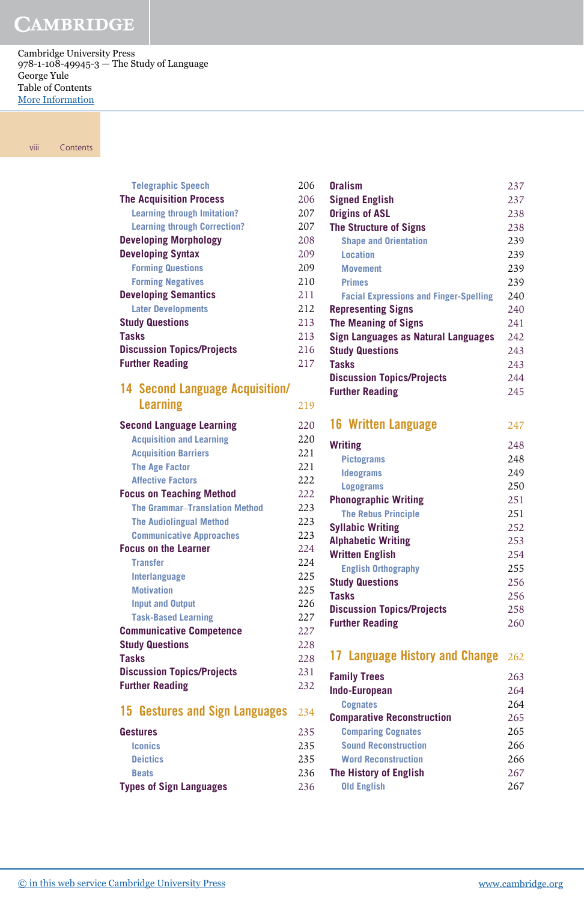Cambridge University Press 978-1-108-49945-3 — The Study of Language George Yule Table of Contents [More Information](www.cambridge.org/9781108499453)

viii Contents

| <b>Telegraphic Speech</b>                              | 206 |
|--------------------------------------------------------|-----|
| <b>The Acquisition Process</b>                         | 206 |
| <b>Learning through Imitation?</b>                     | 207 |
| <b>Learning through Correction?</b>                    | 207 |
| <b>Developing Morphology</b>                           | 208 |
| <b>Developing Syntax</b>                               | 209 |
| <b>Forming Questions</b>                               | 209 |
| <b>Forming Negatives</b>                               | 210 |
| <b>Developing Semantics</b>                            | 211 |
| <b>Later Developments</b>                              | 212 |
| <b>Study Questions</b>                                 | 213 |
| <b>Tasks</b>                                           | 213 |
| <b>Discussion Topics/Projects</b>                      | 216 |
| <b>Further Reading</b>                                 | 217 |
| <b>14 Second Language Acquisition/</b>                 |     |
| <b>Learning</b>                                        | 219 |
| <b>Second Language Learning</b>                        | 220 |
| <b>Acquisition and Learning</b>                        | 220 |
| <b>Acquisition Barriers</b>                            | 221 |
| <b>The Age Factor</b>                                  | 221 |
| <b>Affective Factors</b>                               | 222 |
| <b>Focus on Teaching Method</b>                        | 222 |
| <b>The Grammar-Translation Method</b>                  | 223 |
| <b>The Audiolingual Method</b>                         | 223 |
| <b>Communicative Approaches</b>                        | 223 |
| <b>Focus on the Learner</b>                            | 224 |
| <b>Transfer</b>                                        | 224 |
| Interlanguage                                          | 225 |
| <b>Motivation</b>                                      | 225 |
| <b>Input and Output</b>                                | 226 |
| <b>Task-Based Learning</b>                             | 227 |
| <b>Communicative Competence</b>                        | 227 |
| <b>Study Questions</b>                                 | 228 |
| <b>Tasks</b>                                           | 228 |
| <b>Discussion Topics/Projects</b>                      | 231 |
| <b>Further Reading</b>                                 | 232 |
| 15 <sup>15</sup><br><b>Gestures and Sign Languages</b> | 234 |
| <b>Gestures</b>                                        | 235 |

| <b>Types of Sign Languages</b> | 236 |
|--------------------------------|-----|
| <b>Beats</b>                   | 236 |
| <b>Deictics</b>                | 235 |
| <b>Iconics</b>                 | 235 |
| uestures                       | 255 |

| 06 | <b>Oralism</b>                                | 237 |
|----|-----------------------------------------------|-----|
| 06 | <b>Signed English</b>                         | 237 |
| 07 | <b>Origins of ASL</b>                         | 238 |
| 07 | <b>The Structure of Signs</b>                 | 238 |
| 08 | <b>Shape and Orientation</b>                  | 239 |
| 09 | <b>Location</b>                               | 239 |
| 09 | <b>Movement</b>                               | 239 |
| 10 | <b>Primes</b>                                 | 239 |
| 11 | <b>Facial Expressions and Finger-Spelling</b> | 240 |
| 12 | <b>Representing Signs</b>                     | 240 |
| 13 | <b>The Meaning of Signs</b>                   | 241 |
| 13 | <b>Sign Languages as Natural Languages</b>    | 242 |
| 16 | <b>Study Questions</b>                        | 243 |
| 17 | <b>Tasks</b>                                  | 243 |
|    | <b>Discussion Topics/Projects</b>             | 244 |
|    | <b>Further Reading</b>                        | 245 |
| 19 |                                               |     |
| 20 | <b>16 Written Language</b>                    | 247 |
| 20 | <b>Writing</b>                                | 248 |
| 21 | <b>Pictograms</b>                             | 248 |
| 21 | <b>Ideograms</b>                              | 249 |
| 22 | <b>Logograms</b>                              | 250 |
| 22 | <b>Phonographic Writing</b>                   | 251 |
| 23 | <b>The Rebus Principle</b>                    | 251 |
| 23 | <b>Syllabic Writing</b>                       | 252 |
| 23 | <b>Alphabetic Writing</b>                     | 253 |
| 24 | <b>Written English</b>                        | 254 |
| 24 | <b>English Orthography</b>                    | 255 |
| 25 | <b>Study Questions</b>                        | 256 |
| 25 | <b>Tasks</b>                                  | 256 |
| 26 | <b>Discussion Topics/Projects</b>             | 258 |
| 27 | <b>Further Reading</b>                        | 260 |
| 27 |                                               |     |
| 28 |                                               |     |
| 28 | 17 Language History and Change                | 262 |
| 31 | <b>Family Trees</b>                           | 263 |
| 32 | <b>Indo-European</b>                          | 264 |
|    | <b>Cognates</b>                               | 264 |
| 34 | <b>Comparative Reconstruction</b>             | 265 |
| 35 | <b>Comparing Cognates</b>                     | 265 |
| 35 | <b>Sound Reconstruction</b>                   | 266 |
| 35 | <b>Word Reconstruction</b>                    | 266 |
| 36 | <b>The History of English</b>                 | 267 |
| 36 | <b>Old English</b>                            | 267 |